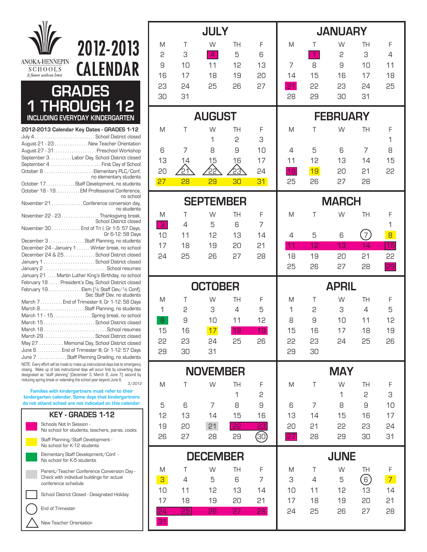## 2012-2013 ANOKA-HENNEPIN CALENDAR **SCHOOLS** A future without limii **GRADES 1 THROUGH 12 INCLUDING EVERYDAY KINDERGARTEN2012-2013 Calendar Key Dates - GRADES 1-12**  July 4 . . . . . . . . . . . . . . . . . . . . . . . . . . . School District closed August 21 - 23 . . . . . . . . . . . . . . . New Teacher Orientation August 27 - 31. . . . . . . . . . . . . . . . . . . Preschool Workshop September 3. . . . . . . . . . Labor Day, School District closed September 4 . . . . . . . . . . . . . . . . . . . . . . . First Day of School October 8 . . . . . . . . . . . . . . . . . . . . . . Elementary PLC/Conf, no elementary students October 17. . . . . . . . . . . . . Staff Development, no students October 18 - 19. . . . . . . . . . . EM Professional Conference, no school November 21 . . . . . . . . . . . . . . Conference conversion day, no students November 22 - 23 . . . . . . . . . . . . . . . Thanksgiving break, School District closed November 30 . . . . . . . . . . . . . End of Tri I, Gr 1-5: 57 Days, Gr 6-12: 58 Days December 3 . . . . . . . . . . . . . . . Staff Planning, no students December 24 - January 1 . . . . . . Winter break, no school December 24 & 25 . . . . . . . . . . . . . . School District closed January 1 . . . . . . . . . . . . . . . . . . . . . . . School District closed January 2 . . . . . . . . . . . . . . . . . . . . . . . . . . . . School resumes January 21 . . . . Martin Luther King's Birthday, no school February 18 . . . . . President's Day, School District closed February 19. . . . . . . . . . . . . . . Elem (½ Staff Dev/½ Conf), Sec Staff Dev, no students March 7 . . . . . . . . . End of Trimester II, Gr 1-12: 58 Days March 8. . . . . . . . . . . . . . . . . . . . Staff Planning, no students March 11 - 15 . . . . . . . . . . . . . . . Spring break, no school March 15 . . . . . . . . . . . . . . . . . . . . . . . School District closed March 18 . . . . . . . . . . . . . . . . . . . . . . . . . . . . School resumes March 29 . . . . . . . . . . . . . . . . . . . . . . . School District closed May 27 . . . . . . . . . . . Memorial Day, School District closed June 6 . . . . . . . . . . . End of Trimester III, Gr 1-12: 57 Days June 7 . . . . . . . . . . . . Staff Planning Grading, no students NOTE: Every effort will be made to make up instructional days lost to emergency closing. Make up of lost instructional days will occur first by converting days designated as "staff planning" (December 3, March 8, June 7); second by reducing spring break or extending the school year beyond June 6.  $3/2012$ **Families with kindergartners must refer to their kindergarten calendar. Some days that kindergartners**

**do not attend school are not indicated on this calendar.**

## **KEY - GRADES 1-12** Schools Not In Session -



|                       |             | <b>JULY</b>          |                |                 |          |                     | <b>JANUARY</b>   |                |                |  |
|-----------------------|-------------|----------------------|----------------|-----------------|----------|---------------------|------------------|----------------|----------------|--|
| M<br>2                | $\top$<br>3 | W<br>$\overline{4}$  | <b>TH</b><br>5 | F<br>6          | M        | T<br>$\overline{1}$ | W<br>2           | TH<br>3        | F<br>4         |  |
| 9                     | 10          | 11                   | 12             | 13              | 7        | 8                   | 9                | 10             | 11             |  |
| 16                    | 17          | 18                   | 19             | 20              | 14       | 15                  | 16               | 17             | 18             |  |
| 53                    | 24          | 25                   | 26             | 27              | 21       | 55                  | 23               | 24             | 25             |  |
| 30                    | 31          |                      |                |                 | 28       | 29                  | 30               | 31             |                |  |
|                       |             | <b>AUGUST</b>        |                |                 |          |                     | <b>FEBRUARY</b>  |                |                |  |
| M                     | Τ           | W                    | TH             | F               | M        | Τ                   | W                | TH             | F              |  |
| 6                     | 7           | 1<br>8               | 2<br>9         | 3<br>10         | 4        | 5                   | 6                | 7              | 1<br>8         |  |
| 13                    | 14          | 15                   | 16             | 17              | 11       | 12                  | 13               | 14             | 15             |  |
| 20                    | 21          | 22                   | 23             | 24              | 18       | 19                  | 20               | 21             | 55             |  |
| 27                    | 28          | 29                   | 30             | 31              | 25       | 26                  | 27               | 28             |                |  |
|                       |             | <b>SEPTEMBER</b>     |                |                 |          |                     | <b>MARCH</b>     |                |                |  |
| M<br>3                | Τ<br>4      | W<br>5               | TH<br>6        | F<br>7          | M        | Τ                   | W                | TH             | F<br>1         |  |
| 10                    | 11          | 12                   | 13             | 14              | 4        | 5                   | 6                | $\overline{7}$ | 8              |  |
| 17                    | 18          | 19                   | 20             | 21              | 11       | 12                  | 13               | 14             | 15             |  |
| 24                    | 25          | 26                   | 27             | 28              | 18       | 19                  | 20               | 21             | 55             |  |
|                       |             |                      |                |                 | 25       | 26                  | 27               | 28             | 29             |  |
|                       |             |                      |                |                 |          | <b>APRIL</b>        |                  |                |                |  |
|                       |             | <b>OCTOBER</b>       |                |                 |          |                     |                  |                |                |  |
| M                     | Τ           | W                    | TH             | F               | M        | T                   | W                | TH             | F              |  |
| 1                     | 2           | 3                    | 4              | 5               | 1        | 2                   | 3                | 4              | 5              |  |
| 8                     | 9           | 10                   | 11             | 12              | 8        | 9                   | 10               | 11             | 12             |  |
| 15<br>55              | 16<br>53    | 17<br>24             | 18<br>25       | 19<br>26        | 15<br>55 | 16<br>23            | 17<br>24         | 18<br>25       | 19<br>26       |  |
| 29                    | 30          | 31                   |                |                 | 29       | 30                  |                  |                |                |  |
|                       |             | <b>NOVEMBER</b>      |                |                 |          |                     | <b>MAY</b>       |                |                |  |
| M                     | Τ           | W                    | TH             | F               | M        | Τ                   | W                | TH             | $\mathsf F$    |  |
|                       |             |                      | $\mathbf 1$    | 2               |          |                     | 1                | 2              | З              |  |
| 5                     | 6           | 7                    | 8              | 9               | 6        | $\overline{7}$      | 8                | 9              | 10             |  |
| 12                    | 13          | 14                   | 15             | 16              | 13       | 14                  | 15               | 16             | 17             |  |
| 19<br>26              | 20<br>27    | 21<br>28             | 55<br>29       | $\overline{23}$ | 20<br>27 | 21<br>28            | 55<br>29         | 23<br>30       | 24<br>31       |  |
|                       |             |                      |                | ම               |          |                     |                  |                |                |  |
| M                     | T           | <b>DECEMBER</b><br>W | TH             | F               | M        | T                   | <b>JUNE</b><br>W | TH             | F              |  |
| 3 <sup>2</sup>        | 4           | 5                    | 6              | $\overline{7}$  | З        | 4                   | 5                | $\overline{6}$ | 7 <sup>2</sup> |  |
| 10                    | 11          | 12                   | 13             | 14              | 10       | 11                  | 12               | 13             | 14             |  |
| 17                    | 18          | 19                   | 20             | 21              | 17       | 18                  | 19               | 20             | 21             |  |
| $\overline{24}$<br>31 | 25          | 26                   | 27             | 28              | 24       | 25                  | 26               | 27             | 28             |  |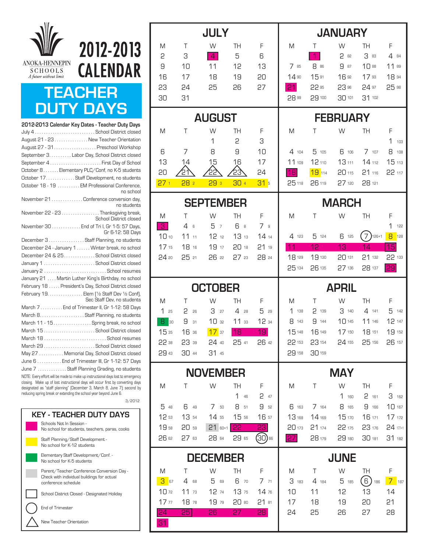

## **TEACHER DUTY DAYS**

2012-2013

**CALENDAR** 

| 2012-2013 Calendar Key Dates - Teacher Duty Days                                                                                                                                                                                                                                                                  |
|-------------------------------------------------------------------------------------------------------------------------------------------------------------------------------------------------------------------------------------------------------------------------------------------------------------------|
|                                                                                                                                                                                                                                                                                                                   |
| August 21 - 23 New Teacher Orientation                                                                                                                                                                                                                                                                            |
| August 27 - 31. Preschool Workshop                                                                                                                                                                                                                                                                                |
| September 3. Labor Day, School District closed                                                                                                                                                                                                                                                                    |
| September 4First Day of School                                                                                                                                                                                                                                                                                    |
| October 8Elementary PLC/Conf, no K-5 students                                                                                                                                                                                                                                                                     |
| October 17. Staff Development, no students                                                                                                                                                                                                                                                                        |
| October 18 - 19  EM Professional Conference,<br>no school                                                                                                                                                                                                                                                         |
| November 21 Conference conversion day,<br>no students                                                                                                                                                                                                                                                             |
| November 22 - 23 Thanksgiving break,<br>School District closed                                                                                                                                                                                                                                                    |
| November 30 End of Tri I, Gr 1-5: 57 Days,<br>Gr 6-12: 58 Days                                                                                                                                                                                                                                                    |
| December 3 Staff Planning, no students                                                                                                                                                                                                                                                                            |
| December 24 - January 1 Winter break, no school                                                                                                                                                                                                                                                                   |
| December 24 & 25. School District closed                                                                                                                                                                                                                                                                          |
| January 1  School District closed                                                                                                                                                                                                                                                                                 |
|                                                                                                                                                                                                                                                                                                                   |
| January 21  Martin Luther King's Birthday, no school                                                                                                                                                                                                                                                              |
| February 18 President's Day, School District closed                                                                                                                                                                                                                                                               |
| February 19. Elem [1/2 Staff Dev 1/2 Conf],<br>Sec Staff Dev, no students                                                                                                                                                                                                                                         |
| March 7 End of Trimester II, Gr 1-12: 58 Days                                                                                                                                                                                                                                                                     |
|                                                                                                                                                                                                                                                                                                                   |
| March 11 - 15 Spring break, no school                                                                                                                                                                                                                                                                             |
| March 15  School District closed                                                                                                                                                                                                                                                                                  |
| March 18 School resumes                                                                                                                                                                                                                                                                                           |
|                                                                                                                                                                                                                                                                                                                   |
| May 27  Memorial Day, School District closed                                                                                                                                                                                                                                                                      |
| June 6  End of Trimester III, Gr 1-12: 57 Days                                                                                                                                                                                                                                                                    |
| June 7  Staff Planning Grading, no students                                                                                                                                                                                                                                                                       |
| NOTE: Every effort will be made to make up instructional days lost to emergency<br>closing. Make up of lost instructional days will occur first by converting days<br>designated as "staff planning" (December 3, March 8, June 7); second by<br>reducing spring break or extending the school year heyond June B |

3/2012 ucing spring break or extending the school year beyond June 6



| <b>JULY</b><br>T<br>W<br>TH<br>M<br>F |                    |                      |             |                         | <b>JANUARY</b>   |                   |                 |                 |                   |
|---------------------------------------|--------------------|----------------------|-------------|-------------------------|------------------|-------------------|-----------------|-----------------|-------------------|
|                                       |                    |                      |             |                         | M                | Τ                 | W               | TH              | F                 |
| 2                                     | 3                  | $\overline{4}$       | 5           | 6                       |                  | $\overline{1}$    | 2 82            | 3 83            | 4 84              |
| 9                                     | 10                 | 11                   | 12          | 13                      | 7 85             | 8 86              | 9 87            | 10 88           | $11^{89}$         |
| 16<br>23                              | 17                 | 18                   | 19          | 20<br>27                | 14 90<br>21      | 1591<br>22 95     | 16 92<br>23 96  | 17 93<br>24 97  | 18 94<br>25 98    |
| 30                                    | 24<br>31           | 25                   | 26          |                         | 28 <sup>99</sup> | 29 100            | 30 101          | 31 102          |                   |
|                                       |                    |                      |             |                         |                  |                   |                 |                 |                   |
|                                       |                    | <b>AUGUST</b>        |             |                         |                  |                   | <b>FEBRUARY</b> |                 |                   |
| M                                     | Τ                  | W                    | TН          | F                       | M                | Τ                 | W               | <b>TH</b>       | F                 |
|                                       |                    | 1                    | 2           | З                       |                  |                   |                 |                 | 1<br>103          |
| 6<br>13                               | 7<br>14            | 8<br>15              | 9<br>16     | 10<br>17                | 4104<br>11 109   | 5 105<br>12 110   | 6 106<br>13 111 | 7107<br>14 112  | 8 108<br>15 113   |
| 20                                    | ∕21                |                      | 23          | 24                      | 18               | 19 114            | 20 115          | 21 116          | 22 117            |
| 27 <sub>1</sub>                       | 28 <sub>2</sub>    | 293                  | 30 4        | 31 <sub>5</sub>         | 25 118           | 26 119            | 27 120          | 28 121          |                   |
|                                       |                    |                      |             |                         |                  |                   |                 |                 |                   |
|                                       |                    | <b>SEPTEMBER</b>     |             |                         |                  |                   | <b>MARCH</b>    |                 |                   |
| M                                     | Τ                  | W                    | TH          | F                       | M                | Τ                 | W               | <b>TH</b>       | F                 |
| $\mathbf{B}$<br>10 10                 | 4<br>6<br>1111     | 5<br>7<br>1212       | 6 s<br>1313 | 7 <sub>9</sub><br>14.14 | 4 123            | 5 124             | 6 125           | $7)$ 126+1      | 1<br>122<br>8 128 |
| 17 15                                 | 18 16              | 19 17                | 20 18       | 2119                    | 11               | 12                | 13              | 14              | 15                |
| 24 20                                 | 25 21              | 26 22                | 2723        | 28 24                   | 18 129           | 19 130            | 20 131          | 21 132          | 22 133            |
|                                       |                    |                      |             |                         | 25 134           | 26 135            | 27 136          | 28 137          | 29                |
|                                       |                    |                      |             |                         |                  |                   |                 |                 |                   |
|                                       |                    |                      |             |                         |                  |                   |                 |                 |                   |
|                                       |                    | <b>OCTOBER</b>       |             |                         |                  |                   | <b>APRIL</b>    |                 |                   |
| M                                     | Τ                  | W                    | TН          | F                       | M                | Τ                 | W               | TH              | F                 |
| 125<br> 30                            | 2<br>26<br>9<br>31 | З<br>27              | 4.28        | 5<br>29                 | 1 138<br>8 143   | 2<br>139<br>9 144 | 3140<br>10145   | 4 141<br>11 146 | 5 142             |
| 8<br>1535                             | 16 36              | 1032                 | 1133<br>18  | 12 34<br>19             | 15 148           | 16 149            | 17 150          | 18 151          | 12 147<br>19 152  |
| 22 38                                 | 23 39              | 1737<br>24 40        | 25 41       | 26 42                   | 22 153           | 23 154            | 24 155          | 25 156          | 26 157            |
| 29 43                                 | 30 44              | 31 45                |             |                         | 29 158           | 30 159            |                 |                 |                   |
|                                       |                    |                      |             |                         |                  |                   |                 |                 |                   |
| M                                     | T                  | <b>NOVEMBER</b><br>W | TH          | F                       | M                | Τ                 | MAY<br>W        | <b>TH</b>       | F                 |
|                                       |                    |                      | 1<br>46     | 247                     |                  |                   | 1.160           | 2 161           | 3 162             |
| 5 48                                  | 6 49               | 750                  | 8 51        | 9 52                    | 6 163            | 7 164             | 8 165           | 9 166           | 10 167            |
| 12 53                                 | 13 54              | 14 55                | 15 56       | 16 57                   | 13 168           | 14 169            | 15 170          | 16 171          | 17 172            |
| 19 58                                 | 20 59              | $21$ 60+1            | 22          | 23                      | 20 173           | 21 174            | 22 175          | 23 176          | 24 177+1          |
| 26 62                                 | 27 63              | 28 64                | 29 65       | (30) 66                 | 27               | 28 179            | 29 180          | 30 181          | 31 182            |
|                                       |                    | <b>DECEMBER</b>      |             |                         |                  |                   | <b>JUNE</b>     |                 |                   |
| M                                     | $\top$             | W                    | <b>TH</b>   | F                       | M                | $\top$            | W               | TH              | F                 |
| <b>3</b> 67                           | 4 68               | 5 69                 | 6 70        | 7.71                    | 3 183            | 4 184             | 5 185           | $(6)$ 186       | $7$ 187           |
| 10 <sub>72</sub>                      | 11 <sub>73</sub>   | 12 74                | 13 75       | 14 76                   | 10               | 11                | 12              | 13              | 14                |
| 17 <sub>77</sub>                      | 18 78              | 19 79                | 20 80       | 21 81                   | 17               | 18                | 19              | 20              | 21                |
| 24<br>31                              | 25                 | 26                   | 27          | 28                      | 24               | 25                | 26              | 27              | 28                |